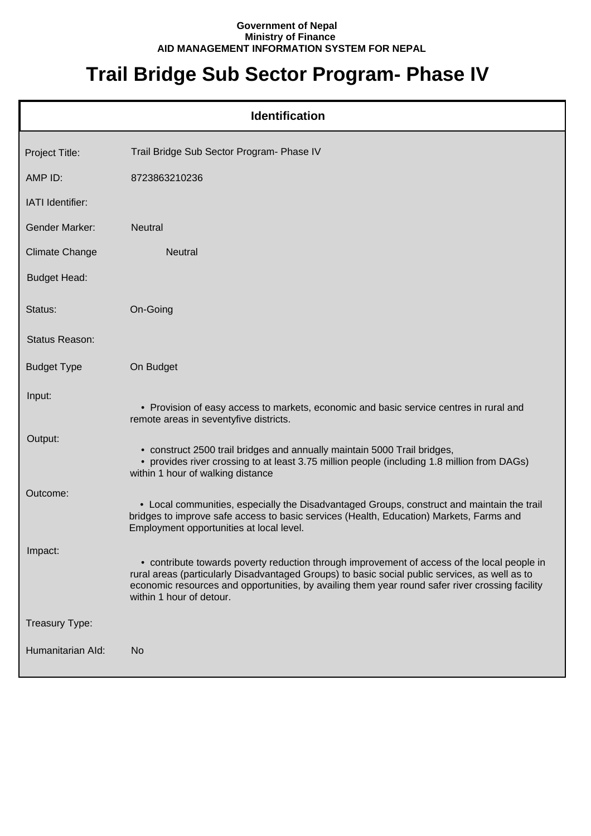## **Government of Nepal Ministry of Finance AID MANAGEMENT INFORMATION SYSTEM FOR NEPAL**

## **Trail Bridge Sub Sector Program- Phase IV**

| <b>Identification</b> |                                                                                                                                                                                                                                                                                                                              |  |  |
|-----------------------|------------------------------------------------------------------------------------------------------------------------------------------------------------------------------------------------------------------------------------------------------------------------------------------------------------------------------|--|--|
| Project Title:        | Trail Bridge Sub Sector Program- Phase IV                                                                                                                                                                                                                                                                                    |  |  |
| AMP ID:               | 8723863210236                                                                                                                                                                                                                                                                                                                |  |  |
| IATI Identifier:      |                                                                                                                                                                                                                                                                                                                              |  |  |
| Gender Marker:        | <b>Neutral</b>                                                                                                                                                                                                                                                                                                               |  |  |
| <b>Climate Change</b> | <b>Neutral</b>                                                                                                                                                                                                                                                                                                               |  |  |
| <b>Budget Head:</b>   |                                                                                                                                                                                                                                                                                                                              |  |  |
| Status:               | On-Going                                                                                                                                                                                                                                                                                                                     |  |  |
| Status Reason:        |                                                                                                                                                                                                                                                                                                                              |  |  |
| <b>Budget Type</b>    | On Budget                                                                                                                                                                                                                                                                                                                    |  |  |
| Input:                | • Provision of easy access to markets, economic and basic service centres in rural and<br>remote areas in seventyfive districts.                                                                                                                                                                                             |  |  |
| Output:               | • construct 2500 trail bridges and annually maintain 5000 Trail bridges,<br>• provides river crossing to at least 3.75 million people (including 1.8 million from DAGs)<br>within 1 hour of walking distance                                                                                                                 |  |  |
| Outcome:              | • Local communities, especially the Disadvantaged Groups, construct and maintain the trail<br>bridges to improve safe access to basic services (Health, Education) Markets, Farms and<br>Employment opportunities at local level.                                                                                            |  |  |
| Impact:               | • contribute towards poverty reduction through improvement of access of the local people in<br>rural areas (particularly Disadvantaged Groups) to basic social public services, as well as to<br>economic resources and opportunities, by availing them year round safer river crossing facility<br>within 1 hour of detour. |  |  |
| Treasury Type:        |                                                                                                                                                                                                                                                                                                                              |  |  |
| Humanitarian Ald:     | <b>No</b>                                                                                                                                                                                                                                                                                                                    |  |  |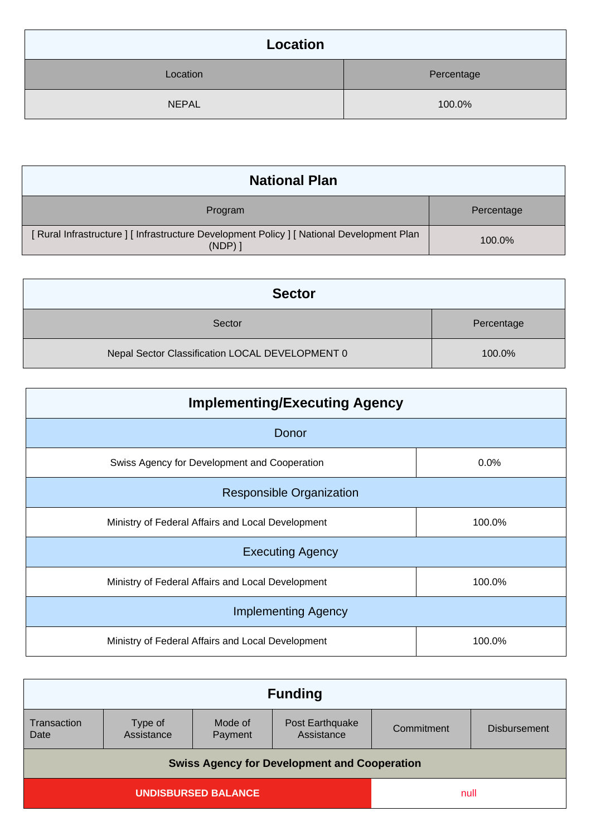| Location     |            |
|--------------|------------|
| Location     | Percentage |
| <b>NEPAL</b> | 100.0%     |

| <b>National Plan</b>                                                                                    |            |
|---------------------------------------------------------------------------------------------------------|------------|
| Program                                                                                                 | Percentage |
| [ Rural Infrastructure ] [ Infrastructure Development Policy ] [ National Development Plan<br>$(NDP)$ ] | 100.0%     |

| <b>Sector</b>                                   |            |
|-------------------------------------------------|------------|
| Sector                                          | Percentage |
| Nepal Sector Classification LOCAL DEVELOPMENT 0 | 100.0%     |

| <b>Implementing/Executing Agency</b>              |        |  |
|---------------------------------------------------|--------|--|
| Donor                                             |        |  |
| Swiss Agency for Development and Cooperation      | 0.0%   |  |
| <b>Responsible Organization</b>                   |        |  |
| Ministry of Federal Affairs and Local Development | 100.0% |  |
| <b>Executing Agency</b>                           |        |  |
| Ministry of Federal Affairs and Local Development | 100.0% |  |
| <b>Implementing Agency</b>                        |        |  |
| Ministry of Federal Affairs and Local Development | 100.0% |  |

| <b>Funding</b>                                      |                       |                    |                               |            |                     |
|-----------------------------------------------------|-----------------------|--------------------|-------------------------------|------------|---------------------|
| Transaction<br>Date                                 | Type of<br>Assistance | Mode of<br>Payment | Post Earthquake<br>Assistance | Commitment | <b>Disbursement</b> |
| <b>Swiss Agency for Development and Cooperation</b> |                       |                    |                               |            |                     |
| <b>UNDISBURSED BALANCE</b>                          |                       |                    | null                          |            |                     |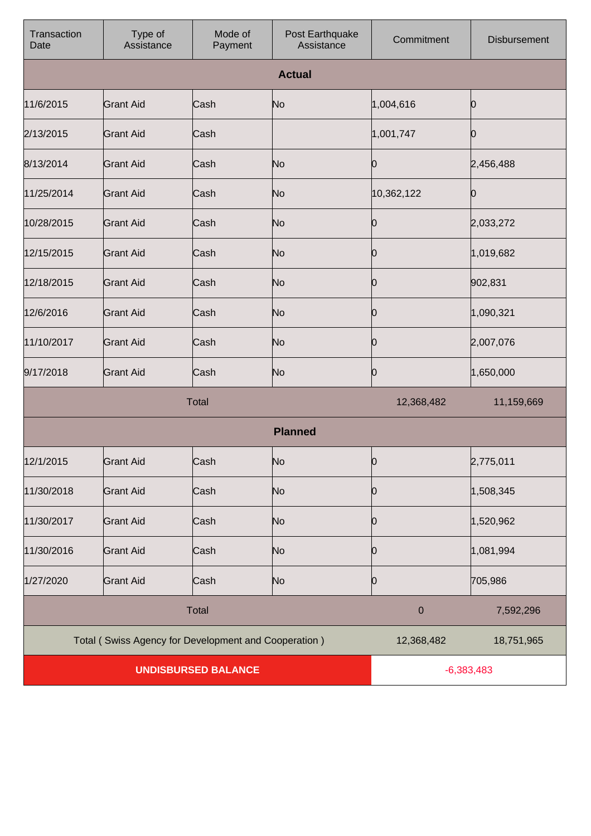| Transaction<br>Date        | Type of<br>Assistance                                | Mode of<br>Payment | Post Earthquake<br>Assistance | Commitment       | <b>Disbursement</b> |
|----------------------------|------------------------------------------------------|--------------------|-------------------------------|------------------|---------------------|
|                            |                                                      |                    | <b>Actual</b>                 |                  |                     |
| 11/6/2015                  | <b>Grant Aid</b>                                     | Cash               | No                            | 1,004,616        | Ю                   |
| 2/13/2015                  | <b>Grant Aid</b>                                     | Cash               |                               | 1,001,747        | O                   |
| 8/13/2014                  | <b>Grant Aid</b>                                     | Cash               | No                            | 0                | 2,456,488           |
| 11/25/2014                 | <b>Grant Aid</b>                                     | Cash               | No                            | 10,362,122       | 0                   |
| 10/28/2015                 | <b>Grant Aid</b>                                     | Cash               | No                            | 0                | 2,033,272           |
| 12/15/2015                 | <b>Grant Aid</b>                                     | Cash               | No                            | 0                | 1,019,682           |
| 12/18/2015                 | <b>Grant Aid</b>                                     | Cash               | No                            | 0                | 902,831             |
| 12/6/2016                  | <b>Grant Aid</b>                                     | Cash               | No                            | 0                | 1,090,321           |
| 11/10/2017                 | <b>Grant Aid</b>                                     | Cash               | No                            | 0                | 2,007,076           |
| 9/17/2018                  | <b>Grant Aid</b>                                     | Cash               | No                            | 0                | 1,650,000           |
| <b>Total</b>               |                                                      |                    | 12,368,482                    | 11,159,669       |                     |
| <b>Planned</b>             |                                                      |                    |                               |                  |                     |
| 12/1/2015                  | <b>Grant Aid</b>                                     | Cash               | No                            | 0                | 2,775,011           |
| 11/30/2018                 | <b>Grant Aid</b>                                     | Cash               | No                            | 0                | 1,508,345           |
| 11/30/2017                 | <b>Grant Aid</b>                                     | Cash               | No                            | 0                | 1,520,962           |
| 11/30/2016                 | <b>Grant Aid</b>                                     | Cash               | No                            | 0                | 1,081,994           |
| 1/27/2020                  | <b>Grant Aid</b>                                     | Cash               | No                            | 0                | 705,986             |
|                            | <b>Total</b>                                         |                    |                               | $\boldsymbol{0}$ | 7,592,296           |
|                            | Total (Swiss Agency for Development and Cooperation) |                    |                               | 12,368,482       | 18,751,965          |
| <b>UNDISBURSED BALANCE</b> |                                                      |                    | $-6,383,483$                  |                  |                     |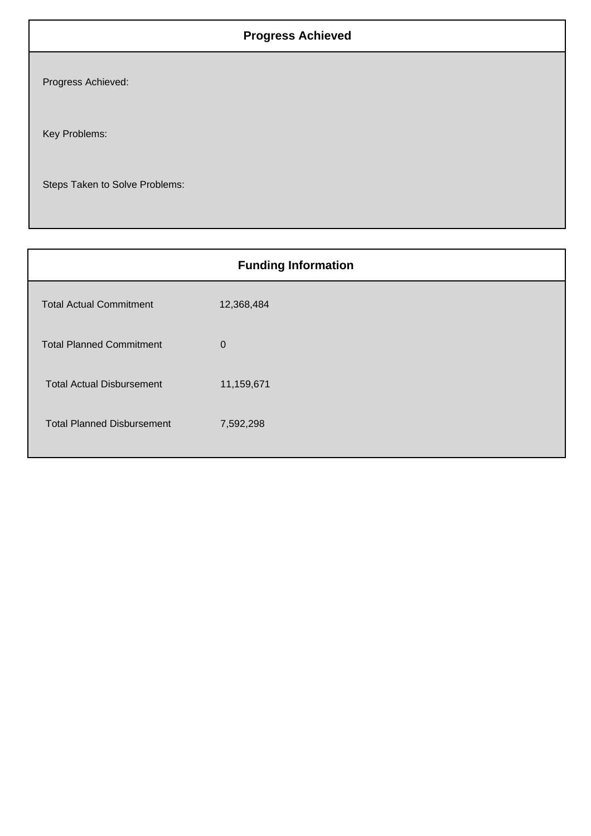## **Progress Achieved**

Progress Achieved:

Key Problems:

Steps Taken to Solve Problems:

| <b>Funding Information</b>        |             |  |  |
|-----------------------------------|-------------|--|--|
| <b>Total Actual Commitment</b>    | 12,368,484  |  |  |
| <b>Total Planned Commitment</b>   | $\mathbf 0$ |  |  |
| <b>Total Actual Disbursement</b>  | 11,159,671  |  |  |
| <b>Total Planned Disbursement</b> | 7,592,298   |  |  |